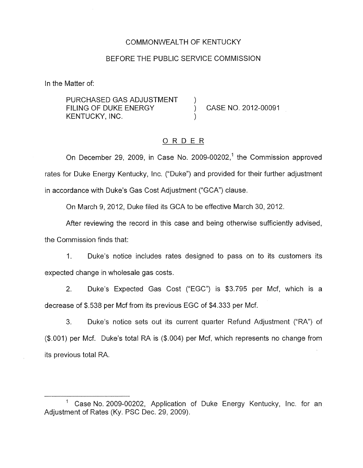#### COMMONWEALTH OF KENTUCKY

## BEFORE THE PUBLIC SERVICE COMMISSION

In the Matter of:

PURCHASED GAS ADJUSTMENT FILING OF DUKE ENERGY (CASE NO. 2012-00091 KENTUCKY, INC.

## ORDER

On December 29, 2009, in Case No. 2009-00202,<sup>1</sup> the Commission approved rates for Duke Energy Kentucky, Inc. ("Duke") and provided for their further adjustment in accordance with Duke's Gas Cost Adjustment ("GCA'') clause.

On March 9, 2012, Duke filed its GCA to be effective March 30, 2012.

After reviewing the record in this case and being otherwise sufficiently advised, the Commission finds that:

1. Duke's notice includes rates designed to pass on to its customers its expected change in wholesale gas costs.

2. Duke's Expected Gas Cost ("EGC") is \$3.795 per Mcf, which is a decrease of \$.538 per Mcf from its previous EGC of \$4.333 per Mcf.

3. Duke's notice sets out its current quarter Refund Adjustment **('R"')** of (\$.001) per Mcf. Duke's total RA is (\$.004) per Mcf, which represents no change from its previous total RA.

Case No. 2009-00202. Application of Duke Energy Kentucky, Inc. for an Adjustment of Rates (Ky. PSC Dec. 29, 2009).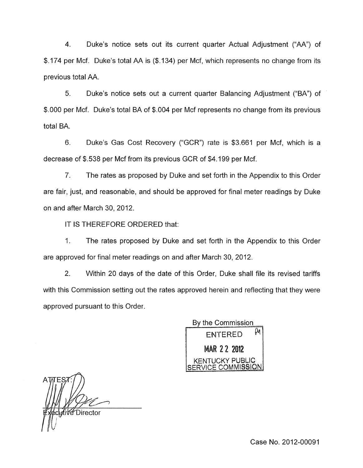4. Duke's notice sets out its current quarter Actual Adjustment ("AA") of \$. 174 per Mcf. Duke's total AA is (\$. 134) per Mcf, which represents no change from its previous total AA.

5. Duke's notice sets out a current quarter Balancing Adjustment ("BA") of \$.OOO per Mcf. Duke's total BA of \$.004 per Mcf represents no change from its previous total BA.

6. Duke's Gas Cost Recovery ("GCR") rate is \$3.661 per Mcf, which is a decrease of \$.538 per Mcf from its previous GCR of \$4.199 per Mcf.

7. The rates as proposed by Duke and set forth in the Appendix to this Order are fair, just, and reasonable, and should be approved for final meter readings by Duke on and after March 30,2012.

IT IS THEREFORE ORDERED that:

1. The rates proposed by Duke and set forth in the Appendix to this Order are approved for final meter readings on and after March 30, 2012.

2. Within 20 days of the date of this Order, Duke shall file its revised tariffs with this Commission setting out the rates approved herein and reflecting that they were approved pursuant to this Order.

By the Commission μи **ENTERED MAR 22 2012 KENTUCKY PUBLIC** /ICE COMMI**SSION** 

nive∕ Director

Case No. 2012-00091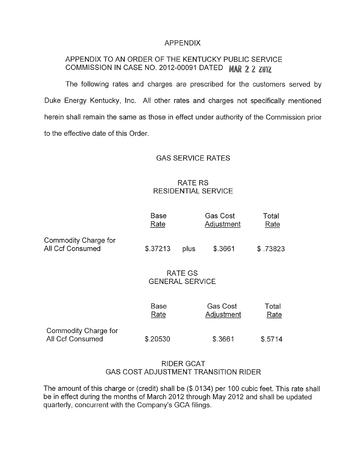## APPENDIX

# APPENDIX TO AN ORDER OF THE KENTUCKY PUBLIC SERVICE COMMISSION IN CASE NO. 2012-00091 DATED MAR 2 2 ZUIZ

The following rates and charges are prescribed for the customers served by Duke Energy Kentucky, Inc. All other rates and charges not specifically mentioned herein shall remain the same as those in effect under authority of the Commission prior to the effective date of this Order

### GAS SERVICE RATES

# RATE RS RESIDENTIAL SERVICE

|                                          | Base<br>Rate |      | Gas Cost<br>Adjustment | Total<br>Rate |
|------------------------------------------|--------------|------|------------------------|---------------|
| Commodity Charge for<br>All Ccf Consumed | \$.37213     | plus | \$.3661                | \$ .73823     |

## RATE GS GENERAL SERVICE

|                                          | Base     | Gas Cost   | Total   |
|------------------------------------------|----------|------------|---------|
|                                          | Rate     | Adjustment | Rate    |
| Commodity Charge for<br>All Ccf Consumed | \$.20530 | \$.3661    | \$.5714 |

# RIDER GCAT GAS COST ADJUSTMENT TRANSITION RIDER

The amount of this charge or (credit) shall be (\$.0134) per 100 cubic feet. This rate shall be in effect during the months of March 2012 through May 2012 and shall be updated quarterly, concurrent with the Company's GCA filings.